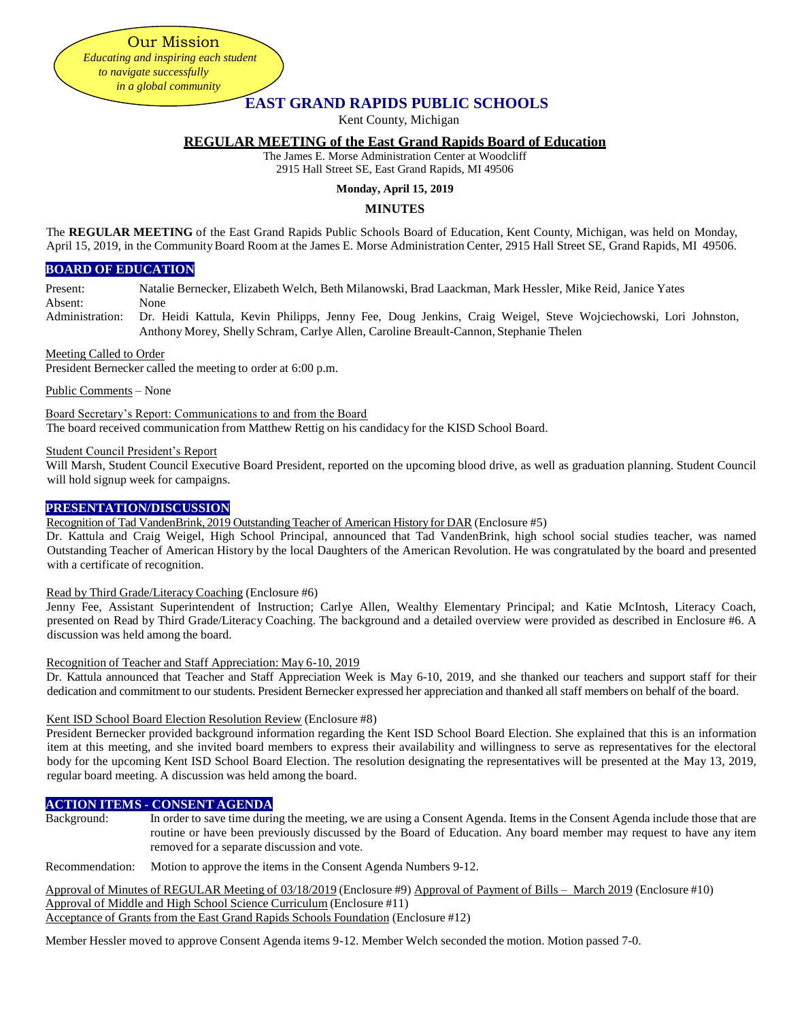Our Mission *Educating and inspiring each student to navigate successfully in a global community*

# **EAST GRAND RAPIDS PUBLIC SCHOOLS**

Kent County, Michigan

# **REGULAR MEETING of the East Grand Rapids Board of Education**

The James E. Morse Administration Center at Woodcliff 2915 Hall Street SE, East Grand Rapids, MI 49506

## **Monday, April 15, 2019**

# **MINUTES**

The **REGULAR MEETING** of the East Grand Rapids Public Schools Board of Education, Kent County, Michigan, was held on Monday, April 15, 2019, in the Community Board Room at the James E. Morse Administration Center, 2915 Hall Street SE, Grand Rapids, MI 49506.

## **BOARD OF EDUCATION**

Present: Natalie Bernecker, Elizabeth Welch, Beth Milanowski, Brad Laackman, Mark Hessler, Mike Reid, Janice Yates

Absent: None

Administration: Dr. Heidi Kattula, Kevin Philipps, Jenny Fee, Doug Jenkins, Craig Weigel, Steve Wojciechowski, Lori Johnston, Anthony Morey, Shelly Schram, Carlye Allen, Caroline Breault-Cannon, Stephanie Thelen

### Meeting Called to Order

President Bernecker called the meeting to order at 6:00 p.m.

Public Comments – None

Board Secretary's Report: Communications to and from the Board The board received communication from Matthew Rettig on his candidacy for the KISD School Board.

### Student Council President's Report

Will Marsh, Student Council Executive Board President, reported on the upcoming blood drive, as well as graduation planning. Student Council will hold signup week for campaigns.

## **PRESENTATION/DISCUSSION**

Recognition of Tad VandenBrink, 2019 Outstanding Teacher of American Historyfor DAR (Enclosure #5)

Dr. Kattula and Craig Weigel, High School Principal, announced that Tad VandenBrink, high school social studies teacher, was named Outstanding Teacher of American History by the local Daughters of the American Revolution. He was congratulated by the board and presented with a certificate of recognition.

Read by Third Grade/Literacy Coaching (Enclosure #6)

Jenny Fee, Assistant Superintendent of Instruction; Carlye Allen, Wealthy Elementary Principal; and Katie McIntosh, Literacy Coach, presented on Read by Third Grade/Literacy Coaching. The background and a detailed overview were provided as described in Enclosure #6. A discussion was held among the board.

Recognition of Teacher and Staff Appreciation: May 6-10, 2019

Dr. Kattula announced that Teacher and Staff Appreciation Week is May 6-10, 2019, and she thanked our teachers and support staff for their dedication and commitment to our students. President Bernecker expressed her appreciation and thanked all staff members on behalf of the board.

### Kent ISD School Board Election Resolution Review (Enclosure #8)

President Bernecker provided background information regarding the Kent ISD School Board Election. She explained that this is an information item at this meeting, and she invited board members to express their availability and willingness to serve as representatives for the electoral body for the upcoming Kent ISD School Board Election. The resolution designating the representatives will be presented at the May 13, 2019, regular board meeting. A discussion was held among the board.

# **ACTION ITEMS - CONSENT AGENDA**

Background: In order to save time during the meeting, we are using a Consent Agenda. Items in the Consent Agenda include those that are routine or have been previously discussed by the Board of Education. Any board member may request to have any item removed for a separate discussion and vote.

Recommendation: Motion to approve the items in the Consent Agenda Numbers 9-12.

Approval of Minutes of REGULAR Meeting of 03/18/2019 (Enclosure #9) Approval of Payment of Bills – March 2019 (Enclosure #10) Approval of Middle and High School Science Curriculum (Enclosure #11) Acceptance of Grants from the East Grand Rapids Schools Foundation (Enclosure #12)

Member Hessler moved to approve Consent Agenda items 9-12. Member Welch seconded the motion. Motion passed 7-0.